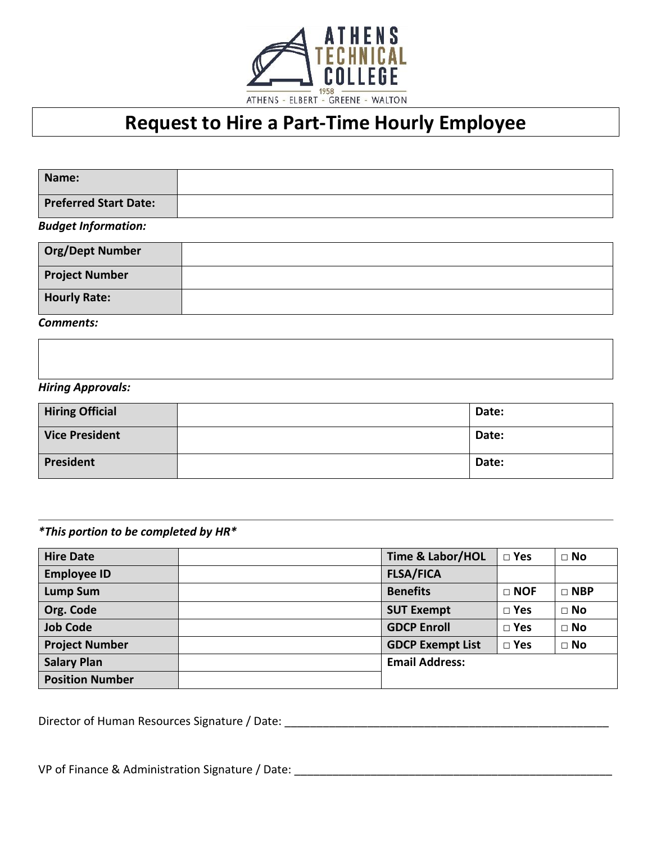

# **Request to Hire a Part-Time Hourly Employee**

| Name:                        |  |
|------------------------------|--|
| <b>Preferred Start Date:</b> |  |
| <b>Budget Information:</b>   |  |
| <b>Org/Dept Number</b>       |  |
| <b>Project Number</b>        |  |

*Comments:*

**Hourly Rate:**

# *Hiring Approvals:*

| <b>Hiring Official</b> | Date: |
|------------------------|-------|
| <b>Vice President</b>  | Date: |
| President              | Date: |

# *\*This portion to be completed by HR\**

| <b>Hire Date</b>       | <b>Time &amp; Labor/HOL</b> | $\square$ Yes | $\Box$ No    |
|------------------------|-----------------------------|---------------|--------------|
| <b>Employee ID</b>     | <b>FLSA/FICA</b>            |               |              |
| <b>Lump Sum</b>        | <b>Benefits</b>             | $\Box$ NOF    | $\Box$ NBP   |
| Org. Code              | <b>SUT Exempt</b>           | $\square$ Yes | $\Box$ No    |
| <b>Job Code</b>        | <b>GDCP Enroll</b>          | $\square$ Yes | $\square$ No |
| <b>Project Number</b>  | <b>GDCP Exempt List</b>     | $\square$ Yes | $\square$ No |
| <b>Salary Plan</b>     | <b>Email Address:</b>       |               |              |
| <b>Position Number</b> |                             |               |              |

Director of Human Resources Signature / Date: \_\_\_\_\_\_\_\_\_\_\_\_\_\_\_\_\_\_\_\_\_\_\_\_\_\_\_\_\_\_\_\_\_\_\_

| VP of Finance & Administration Signature / Date: |  |
|--------------------------------------------------|--|
|--------------------------------------------------|--|